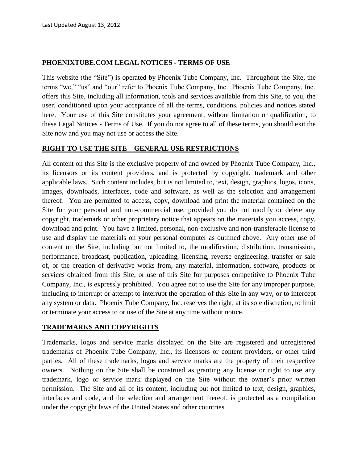# **PHOENIXTUBE.COM LEGAL NOTICES - TERMS OF USE**

This website (the "Site") is operated by Phoenix Tube Company, Inc. Throughout the Site, the terms "we," "us" and "our" refer to Phoenix Tube Company, Inc. Phoenix Tube Company, Inc. offers this Site, including all information, tools and services available from this Site, to you, the user, conditioned upon your acceptance of all the terms, conditions, policies and notices stated here. Your use of this Site constitutes your agreement, without limitation or qualification, to these Legal Notices - Terms of Use. If you do not agree to all of these terms, you should exit the Site now and you may not use or access the Site.

#### **RIGHT TO USE THE SITE – GENERAL USE RESTRICTIONS**

All content on this Site is the exclusive property of and owned by Phoenix Tube Company, Inc., its licensors or its content providers, and is protected by copyright, trademark and other applicable laws. Such content includes, but is not limited to, text, design, graphics, logos, icons, images, downloads, interfaces, code and software, as well as the selection and arrangement thereof. You are permitted to access, copy, download and print the material contained on the Site for your personal and non-commercial use, provided you do not modify or delete any copyright, trademark or other proprietary notice that appears on the materials you access, copy, download and print. You have a limited, personal, non-exclusive and non-transferable license to use and display the materials on your personal computer as outlined above. Any other use of content on the Site, including but not limited to, the modification, distribution, transmission, performance, broadcast, publication, uploading, licensing, reverse engineering, transfer or sale of, or the creation of derivative works from, any material, information, software, products or services obtained from this Site, or use of this Site for purposes competitive to Phoenix Tube Company, Inc., is expressly prohibited. You agree not to use the Site for any improper purpose, including to interrupt or attempt to interrupt the operation of this Site in any way, or to intercept any system or data. Phoenix Tube Company, Inc. reserves the right, at its sole discretion, to limit or terminate your access to or use of the Site at any time without notice.

### **TRADEMARKS AND COPYRIGHTS**

Trademarks, logos and service marks displayed on the Site are registered and unregistered trademarks of Phoenix Tube Company, Inc., its licensors or content providers, or other third parties. All of these trademarks, logos and service marks are the property of their respective owners. Nothing on the Site shall be construed as granting any license or right to use any trademark, logo or service mark displayed on the Site without the owner's prior written permission. The Site and all of its content, including but not limited to text, design, graphics, interfaces and code, and the selection and arrangement thereof, is protected as a compilation under the copyright laws of the United States and other countries.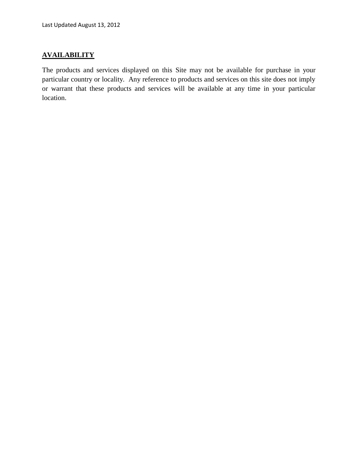# **AVAILABILITY**

The products and services displayed on this Site may not be available for purchase in your particular country or locality. Any reference to products and services on this site does not imply or warrant that these products and services will be available at any time in your particular location.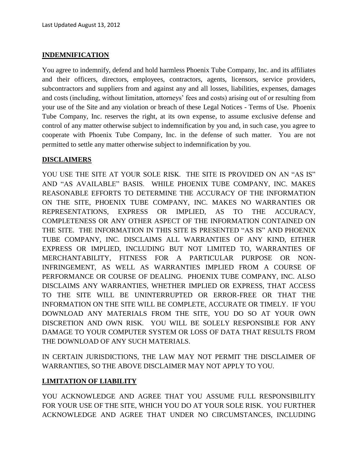### **INDEMNIFICATION**

You agree to indemnify, defend and hold harmless Phoenix Tube Company, Inc. and its affiliates and their officers, directors, employees, contractors, agents, licensors, service providers, subcontractors and suppliers from and against any and all losses, liabilities, expenses, damages and costs (including, without limitation, attorneys' fees and costs) arising out of or resulting from your use of the Site and any violation or breach of these Legal Notices - Terms of Use. Phoenix Tube Company, Inc. reserves the right, at its own expense, to assume exclusive defense and control of any matter otherwise subject to indemnification by you and, in such case, you agree to cooperate with Phoenix Tube Company, Inc. in the defense of such matter. You are not permitted to settle any matter otherwise subject to indemnification by you.

# **DISCLAIMERS**

YOU USE THE SITE AT YOUR SOLE RISK. THE SITE IS PROVIDED ON AN "AS IS" AND "AS AVAILABLE" BASIS. WHILE PHOENIX TUBE COMPANY, INC. MAKES REASONABLE EFFORTS TO DETERMINE THE ACCURACY OF THE INFORMATION ON THE SITE, PHOENIX TUBE COMPANY, INC. MAKES NO WARRANTIES OR REPRESENTATIONS, EXPRESS OR IMPLIED, AS TO THE ACCURACY, COMPLETENESS OR ANY OTHER ASPECT OF THE INFORMATION CONTAINED ON THE SITE. THE INFORMATION IN THIS SITE IS PRESENTED "AS IS" AND PHOENIX TUBE COMPANY, INC. DISCLAIMS ALL WARRANTIES OF ANY KIND, EITHER EXPRESS OR IMPLIED, INCLUDING BUT NOT LIMITED TO, WARRANTIES OF MERCHANTABILITY, FITNESS FOR A PARTICULAR PURPOSE OR NON-INFRINGEMENT, AS WELL AS WARRANTIES IMPLIED FROM A COURSE OF PERFORMANCE OR COURSE OF DEALING. PHOENIX TUBE COMPANY, INC. ALSO DISCLAIMS ANY WARRANTIES, WHETHER IMPLIED OR EXPRESS, THAT ACCESS TO THE SITE WILL BE UNINTERRUPTED OR ERROR-FREE OR THAT THE INFORMATION ON THE SITE WILL BE COMPLETE, ACCURATE OR TIMELY. IF YOU DOWNLOAD ANY MATERIALS FROM THE SITE, YOU DO SO AT YOUR OWN DISCRETION AND OWN RISK. YOU WILL BE SOLELY RESPONSIBLE FOR ANY DAMAGE TO YOUR COMPUTER SYSTEM OR LOSS OF DATA THAT RESULTS FROM THE DOWNLOAD OF ANY SUCH MATERIALS.

IN CERTAIN JURISDICTIONS, THE LAW MAY NOT PERMIT THE DISCLAIMER OF WARRANTIES, SO THE ABOVE DISCLAIMER MAY NOT APPLY TO YOU.

### **LIMITATION OF LIABILITY**

YOU ACKNOWLEDGE AND AGREE THAT YOU ASSUME FULL RESPONSIBILITY FOR YOUR USE OF THE SITE, WHICH YOU DO AT YOUR SOLE RISK. YOU FURTHER ACKNOWLEDGE AND AGREE THAT UNDER NO CIRCUMSTANCES, INCLUDING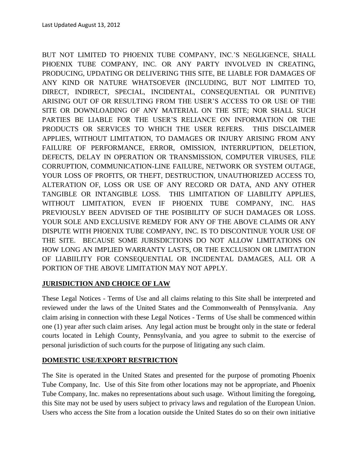BUT NOT LIMITED TO PHOENIX TUBE COMPANY, INC.'S NEGLIGENCE, SHALL PHOENIX TUBE COMPANY, INC. OR ANY PARTY INVOLVED IN CREATING, PRODUCING, UPDATING OR DELIVERING THIS SITE, BE LIABLE FOR DAMAGES OF ANY KIND OR NATURE WHATSOEVER (INCLUDING, BUT NOT LIMITED TO, DIRECT, INDIRECT, SPECIAL, INCIDENTAL, CONSEQUENTIAL OR PUNITIVE) ARISING OUT OF OR RESULTING FROM THE USER'S ACCESS TO OR USE OF THE SITE OR DOWNLOADING OF ANY MATERIAL ON THE SITE; NOR SHALL SUCH PARTIES BE LIABLE FOR THE USER'S RELIANCE ON INFORMATION OR THE PRODUCTS OR SERVICES TO WHICH THE USER REFERS. THIS DISCLAIMER APPLIES, WITHOUT LIMITATION, TO DAMAGES OR INJURY ARISING FROM ANY FAILURE OF PERFORMANCE, ERROR, OMISSION, INTERRUPTION, DELETION, DEFECTS, DELAY IN OPERATION OR TRANSMISSION, COMPUTER VIRUSES, FILE CORRUPTION, COMMUNICATION-LINE FAILURE, NETWORK OR SYSTEM OUTAGE, YOUR LOSS OF PROFITS, OR THEFT, DESTRUCTION, UNAUTHORIZED ACCESS TO, ALTERATION OF, LOSS OR USE OF ANY RECORD OR DATA, AND ANY OTHER TANGIBLE OR INTANGIBLE LOSS. THIS LIMITATION OF LIABILITY APPLIES, WITHOUT LIMITATION, EVEN IF PHOENIX TUBE COMPANY, INC. HAS PREVIOUSLY BEEN ADVISED OF THE POSIBILITY OF SUCH DAMAGES OR LOSS. YOUR SOLE AND EXCLUSIVE REMEDY FOR ANY OF THE ABOVE CLAIMS OR ANY DISPUTE WITH PHOENIX TUBE COMPANY, INC. IS TO DISCONTINUE YOUR USE OF THE SITE. BECAUSE SOME JURISDICTIONS DO NOT ALLOW LIMITATIONS ON HOW LONG AN IMPLIED WARRANTY LASTS, OR THE EXCLUSION OR LIMITATION OF LIABIILITY FOR CONSEQUENTIAL OR INCIDENTAL DAMAGES, ALL OR A PORTION OF THE ABOVE LIMITATION MAY NOT APPLY.

# **JURISDICTION AND CHOICE OF LAW**

These Legal Notices - Terms of Use and all claims relating to this Site shall be interpreted and reviewed under the laws of the United States and the Commonwealth of Pennsylvania. Any claim arising in connection with these Legal Notices - Terms of Use shall be commenced within one (1) year after such claim arises. Any legal action must be brought only in the state or federal courts located in Lehigh County, Pennsylvania, and you agree to submit to the exercise of personal jurisdiction of such courts for the purpose of litigating any such claim.

### **DOMESTIC USE/EXPORT RESTRICTION**

The Site is operated in the United States and presented for the purpose of promoting Phoenix Tube Company, Inc. Use of this Site from other locations may not be appropriate, and Phoenix Tube Company, Inc. makes no representations about such usage. Without limiting the foregoing, this Site may not be used by users subject to privacy laws and regulation of the European Union. Users who access the Site from a location outside the United States do so on their own initiative